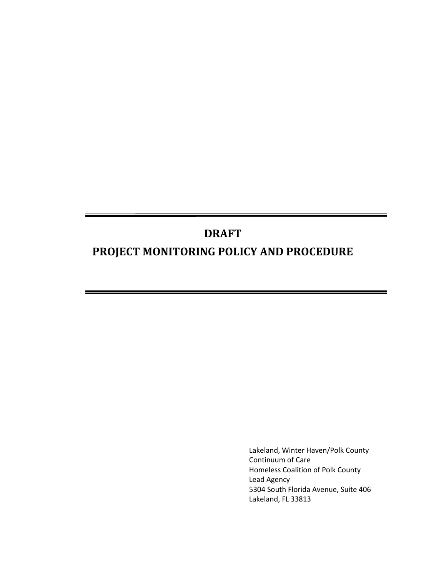# **DRAFT PROJECT MONITORING POLICY AND PROCEDURE**

Lakeland, Winter Haven/Polk County Continuum of Care Homeless Coalition of Polk County Lead Agency 5304 South Florida Avenue, Suite 406 Lakeland, FL 33813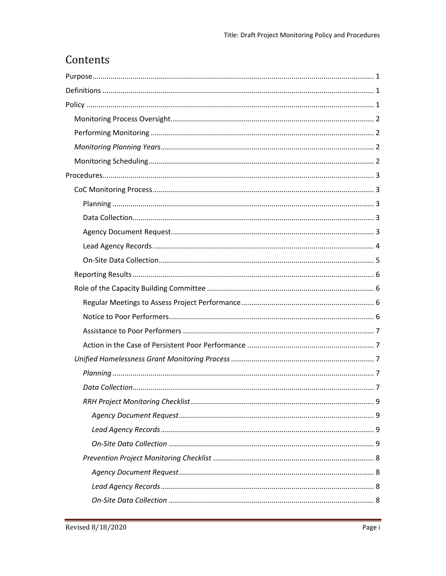# Contents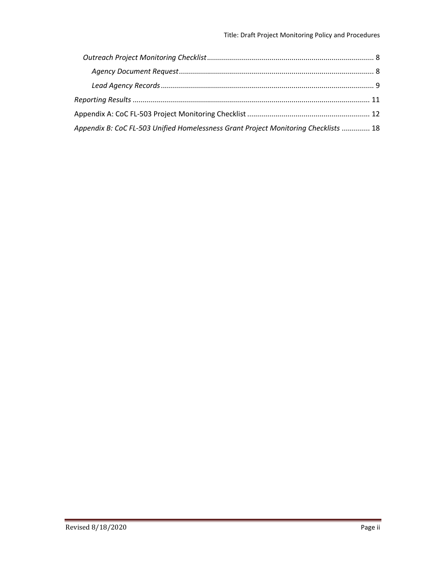| Appendix B: CoC FL-503 Unified Homelessness Grant Project Monitoring Checklists  18 |  |
|-------------------------------------------------------------------------------------|--|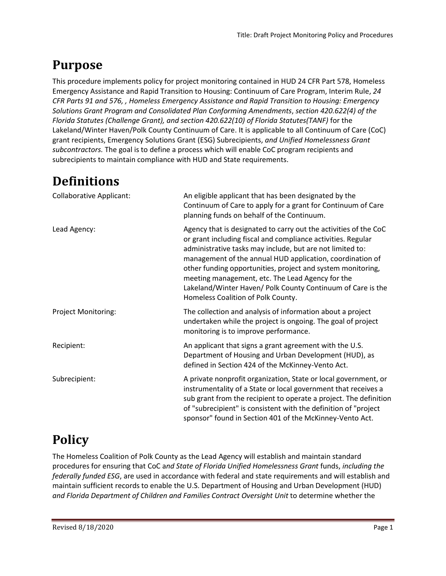# <span id="page-3-0"></span>**Purpose**

This procedure implements policy for project monitoring contained in HUD 24 CFR Part 578, Homeless Emergency Assistance and Rapid Transition to Housing: Continuum of Care Program, Interim Rule, *24 CFR Parts 91 and 576, , Homeless Emergency Assistance and Rapid Transition to Housing: Emergency Solutions Grant Program and Consolidated Plan Conforming Amendments*, *section 420.622(4) of the Florida Statutes (Challenge Grant), and section 420.622(10) of Florida Statutes(TANF)* for the Lakeland/Winter Haven/Polk County Continuum of Care. It is applicable to all Continuum of Care (CoC) grant recipients, Emergency Solutions Grant (ESG) Subrecipients, *and Unified Homelessness Grant subcontractors.* The goal is to define a process which will enable CoC program recipients and subrecipients to maintain compliance with HUD and State requirements.

# <span id="page-3-1"></span>**Definitions**

| <b>Collaborative Applicant:</b> | An eligible applicant that has been designated by the<br>Continuum of Care to apply for a grant for Continuum of Care<br>planning funds on behalf of the Continuum.                                                                                                                                                                                                                                                                                                                |
|---------------------------------|------------------------------------------------------------------------------------------------------------------------------------------------------------------------------------------------------------------------------------------------------------------------------------------------------------------------------------------------------------------------------------------------------------------------------------------------------------------------------------|
| Lead Agency:                    | Agency that is designated to carry out the activities of the CoC<br>or grant including fiscal and compliance activities. Regular<br>administrative tasks may include, but are not limited to:<br>management of the annual HUD application, coordination of<br>other funding opportunities, project and system monitoring,<br>meeting management, etc. The Lead Agency for the<br>Lakeland/Winter Haven/ Polk County Continuum of Care is the<br>Homeless Coalition of Polk County. |
| <b>Project Monitoring:</b>      | The collection and analysis of information about a project<br>undertaken while the project is ongoing. The goal of project<br>monitoring is to improve performance.                                                                                                                                                                                                                                                                                                                |
| Recipient:                      | An applicant that signs a grant agreement with the U.S.<br>Department of Housing and Urban Development (HUD), as<br>defined in Section 424 of the McKinney-Vento Act.                                                                                                                                                                                                                                                                                                              |
| Subrecipient:                   | A private nonprofit organization, State or local government, or<br>instrumentality of a State or local government that receives a<br>sub grant from the recipient to operate a project. The definition<br>of "subrecipient" is consistent with the definition of "project"<br>sponsor" found in Section 401 of the McKinney-Vento Act.                                                                                                                                             |

# <span id="page-3-2"></span>**Policy**

The Homeless Coalition of Polk County as the Lead Agency will establish and maintain standard procedures for ensuring that CoC a*nd State of Florida Unified Homelessness Grant* funds, *including the federally funded ESG*, are used in accordance with federal and state requirements and will establish and maintain sufficient records to enable the U.S. Department of Housing and Urban Development (HUD) and Florida Department of Children and Families Contract Oversight Unit to determine whether the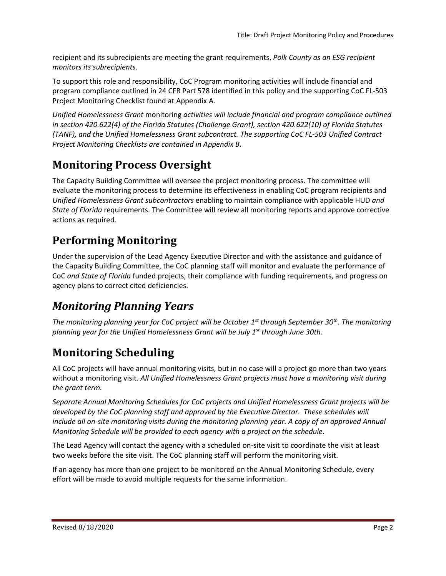recipient and its subrecipients are meeting the grant requirements. *Polk County as an ESG recipient monitors its subrecipients*.

To support this role and responsibility, CoC Program monitoring activities will include financial and program compliance outlined in 24 CFR Part 578 identified in this policy and the supporting CoC FL-503 Project Monitoring Checklist found at Appendix A.

*Unified Homelessness Grant* monitoring *activities will include financial and program compliance outlined in section 420.622(4) of the Florida Statutes (Challenge Grant), section 420.622(10) of Florida Statutes (TANF), and the Unified Homelessness Grant subcontract. The supporting CoC FL-503 Unified Contract Project Monitoring Checklists are contained in Appendix B.*

# <span id="page-4-0"></span>**Monitoring Process Oversight**

The Capacity Building Committee will oversee the project monitoring process. The committee will evaluate the monitoring process to determine its effectiveness in enabling CoC program recipients and *Unified Homelessness Grant subcontractors* enabling to maintain compliance with applicable HUD *and State of Florida* requirements. The Committee will review all monitoring reports and approve corrective actions as required.

# <span id="page-4-1"></span>**Performing Monitoring**

Under the supervision of the Lead Agency Executive Director and with the assistance and guidance of the Capacity Building Committee, the CoC planning staff will monitor and evaluate the performance of CoC *and State of Florida* funded projects, their compliance with funding requirements, and progress on agency plans to correct cited deficiencies.

# <span id="page-4-2"></span>*Monitoring Planning Years*

*The monitoring planning year for CoC project will be October 1 st through September 30th. The monitoring planning year for the Unified Homelessness Grant will be July 1st through June 30th.*

# <span id="page-4-3"></span>**Monitoring Scheduling**

All CoC projects will have annual monitoring visits, but in no case will a project go more than two years without a monitoring visit. *All Unified Homelessness Grant projects must have a monitoring visit during the grant term.*

*Separate Annual Monitoring Schedules for CoC projects and Unified Homelessness Grant projects will be developed by the CoC planning staff and approved by the Executive Director. These schedules will include all on-site monitoring visits during the monitoring planning year. A copy of an approved Annual Monitoring Schedule will be provided to each agency with a project on the schedule.*

The Lead Agency will contact the agency with a scheduled on-site visit to coordinate the visit at least two weeks before the site visit. The CoC planning staff will perform the monitoring visit.

If an agency has more than one project to be monitored on the Annual Monitoring Schedule, every effort will be made to avoid multiple requests for the same information.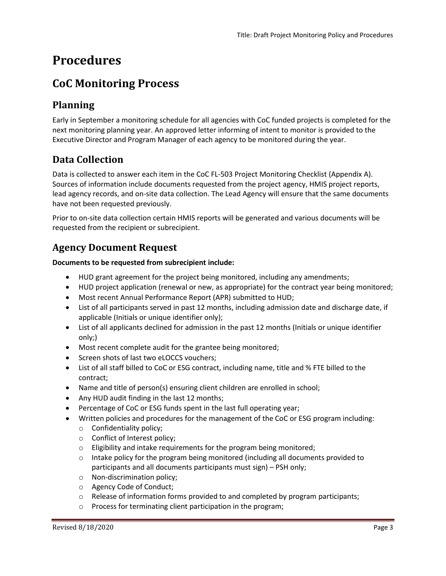# <span id="page-5-0"></span>**Procedures**

## <span id="page-5-1"></span>**CoC Monitoring Process**

## <span id="page-5-2"></span>**Planning**

Early in September a monitoring schedule for all agencies with CoC funded projects is completed for the next monitoring planning year. An approved letter informing of intent to monitor is provided to the Executive Director and Program Manager of each agency to be monitored during the year.

## <span id="page-5-3"></span>**Data Collection**

Data is collected to answer each item in the CoC FL-503 Project Monitoring Checklist (Appendix A). Sources of information include documents requested from the project agency, HMIS project reports, lead agency records, and on-site data collection. The Lead Agency will ensure that the same documents have not been requested previously.

Prior to on-site data collection certain HMIS reports will be generated and various documents will be requested from the recipient or subrecipient.

## <span id="page-5-4"></span>**Agency Document Request**

#### **Documents to be requested from subrecipient include:**

- HUD grant agreement for the project being monitored, including any amendments;
- HUD project application (renewal or new, as appropriate) for the contract year being monitored;
- Most recent Annual Performance Report (APR) submitted to HUD;
- List of all participants served in past 12 months, including admission date and discharge date, if applicable (Initials or unique identifier only);
- List of all applicants declined for admission in the past 12 months (Initials or unique identifier only;)
- Most recent complete audit for the grantee being monitored;
- Screen shots of last two eLOCCS vouchers;
- List of all staff billed to CoC or ESG contract, including name, title and % FTE billed to the contract;
- Name and title of person(s) ensuring client children are enrolled in school;
- Any HUD audit finding in the last 12 months;
- Percentage of CoC or ESG funds spent in the last full operating year;
- Written policies and procedures for the management of the CoC or ESG program including:
	- o Confidentiality policy;
	- o Conflict of Interest policy;
	- o Eligibility and intake requirements for the program being monitored;
	- $\circ$  Intake policy for the program being monitored (including all documents provided to participants and all documents participants must sign) – PSH only;
	- o Non-discrimination policy;
	- o Agency Code of Conduct;
	- $\circ$  Release of information forms provided to and completed by program participants;
	- o Process for terminating client participation in the program;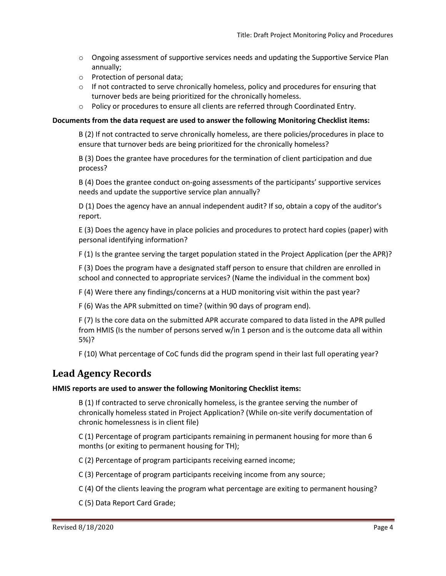- $\circ$  Ongoing assessment of supportive services needs and updating the Supportive Service Plan annually;
- o Protection of personal data;
- $\circ$  If not contracted to serve chronically homeless, policy and procedures for ensuring that turnover beds are being prioritized for the chronically homeless.
- $\circ$  Policy or procedures to ensure all clients are referred through Coordinated Entry.

#### **Documents from the data request are used to answer the following Monitoring Checklist items:**

B (2) If not contracted to serve chronically homeless, are there policies/procedures in place to ensure that turnover beds are being prioritized for the chronically homeless?

B (3) Does the grantee have procedures for the termination of client participation and due process?

B (4) Does the grantee conduct on-going assessments of the participants' supportive services needs and update the supportive service plan annually?

D (1) Does the agency have an annual independent audit? If so, obtain a copy of the auditor's report.

E (3) Does the agency have in place policies and procedures to protect hard copies (paper) with personal identifying information?

F (1) Is the grantee serving the target population stated in the Project Application (per the APR)?

F (3) Does the program have a designated staff person to ensure that children are enrolled in school and connected to appropriate services? (Name the individual in the comment box)

F (4) Were there any findings/concerns at a HUD monitoring visit within the past year?

F (6) Was the APR submitted on time? (within 90 days of program end).

F (7) Is the core data on the submitted APR accurate compared to data listed in the APR pulled from HMIS (Is the number of persons served w/in 1 person and is the outcome data all within 5%)?

F (10) What percentage of CoC funds did the program spend in their last full operating year?

### <span id="page-6-0"></span>**Lead Agency Records**

#### **HMIS reports are used to answer the following Monitoring Checklist items:**

B (1) If contracted to serve chronically homeless, is the grantee serving the number of chronically homeless stated in Project Application? (While on-site verify documentation of chronic homelessness is in client file)

C (1) Percentage of program participants remaining in permanent housing for more than 6 months (or exiting to permanent housing for TH);

C (2) Percentage of program participants receiving earned income;

C (3) Percentage of program participants receiving income from any source;

C (4) Of the clients leaving the program what percentage are exiting to permanent housing?

C (5) Data Report Card Grade;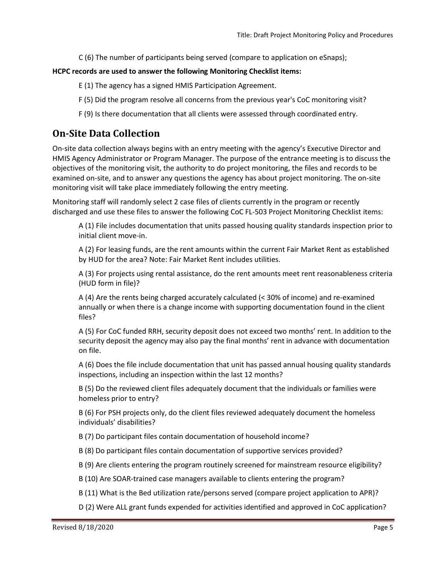C (6) The number of participants being served (compare to application on eSnaps);

#### **HCPC records are used to answer the following Monitoring Checklist items:**

- E (1) The agency has a signed HMIS Participation Agreement.
- F (5) Did the program resolve all concerns from the previous year's CoC monitoring visit?
- F (9) Is there documentation that all clients were assessed through coordinated entry.

### <span id="page-7-0"></span>**On-Site Data Collection**

On-site data collection always begins with an entry meeting with the agency's Executive Director and HMIS Agency Administrator or Program Manager. The purpose of the entrance meeting is to discuss the objectives of the monitoring visit, the authority to do project monitoring, the files and records to be examined on-site, and to answer any questions the agency has about project monitoring. The on-site monitoring visit will take place immediately following the entry meeting.

Monitoring staff will randomly select 2 case files of clients currently in the program or recently discharged and use these files to answer the following CoC FL-503 Project Monitoring Checklist items:

A (1) File includes documentation that units passed housing quality standards inspection prior to initial client move-in.

A (2) For leasing funds, are the rent amounts within the current Fair Market Rent as established by HUD for the area? Note: Fair Market Rent includes utilities.

A (3) For projects using rental assistance, do the rent amounts meet rent reasonableness criteria (HUD form in file)?

A (4) Are the rents being charged accurately calculated (< 30% of income) and re-examined annually or when there is a change income with supporting documentation found in the client files?

A (5) For CoC funded RRH, security deposit does not exceed two months' rent. In addition to the security deposit the agency may also pay the final months' rent in advance with documentation on file.

A (6) Does the file include documentation that unit has passed annual housing quality standards inspections, including an inspection within the last 12 months?

B (5) Do the reviewed client files adequately document that the individuals or families were homeless prior to entry?

B (6) For PSH projects only, do the client files reviewed adequately document the homeless individuals' disabilities?

B (7) Do participant files contain documentation of household income?

- B (8) Do participant files contain documentation of supportive services provided?
- B (9) Are clients entering the program routinely screened for mainstream resource eligibility?
- B (10) Are SOAR-trained case managers available to clients entering the program?
- B (11) What is the Bed utilization rate/persons served (compare project application to APR)?
- D (2) Were ALL grant funds expended for activities identified and approved in CoC application?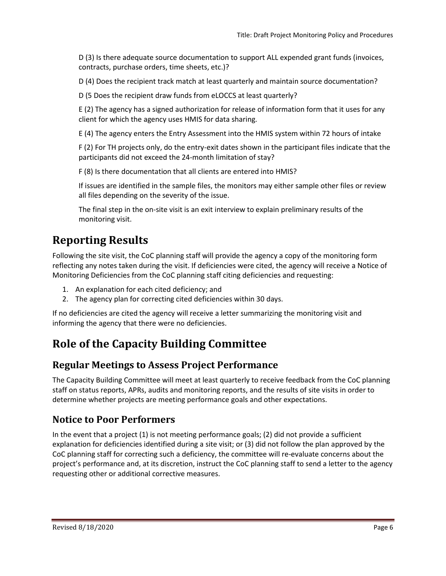D (3) Is there adequate source documentation to support ALL expended grant funds (invoices, contracts, purchase orders, time sheets, etc.)?

D (4) Does the recipient track match at least quarterly and maintain source documentation?

D (5 Does the recipient draw funds from eLOCCS at least quarterly?

E (2) The agency has a signed authorization for release of information form that it uses for any client for which the agency uses HMIS for data sharing.

E (4) The agency enters the Entry Assessment into the HMIS system within 72 hours of intake

F (2) For TH projects only, do the entry-exit dates shown in the participant files indicate that the participants did not exceed the 24-month limitation of stay?

F (8) Is there documentation that all clients are entered into HMIS?

If issues are identified in the sample files, the monitors may either sample other files or review all files depending on the severity of the issue.

The final step in the on-site visit is an exit interview to explain preliminary results of the monitoring visit.

## <span id="page-8-0"></span>**Reporting Results**

Following the site visit, the CoC planning staff will provide the agency a copy of the monitoring form reflecting any notes taken during the visit. If deficiencies were cited, the agency will receive a Notice of Monitoring Deficiencies from the CoC planning staff citing deficiencies and requesting:

- 1. An explanation for each cited deficiency; and
- 2. The agency plan for correcting cited deficiencies within 30 days.

If no deficiencies are cited the agency will receive a letter summarizing the monitoring visit and informing the agency that there were no deficiencies.

## <span id="page-8-1"></span>**Role of the Capacity Building Committee**

### <span id="page-8-2"></span>**Regular Meetings to Assess Project Performance**

The Capacity Building Committee will meet at least quarterly to receive feedback from the CoC planning staff on status reports, APRs, audits and monitoring reports, and the results of site visits in order to determine whether projects are meeting performance goals and other expectations.

### <span id="page-8-3"></span>**Notice to Poor Performers**

In the event that a project (1) is not meeting performance goals; (2) did not provide a sufficient explanation for deficiencies identified during a site visit; or (3) did not follow the plan approved by the CoC planning staff for correcting such a deficiency, the committee will re‐evaluate concerns about the project's performance and, at its discretion, instruct the CoC planning staff to send a letter to the agency requesting other or additional corrective measures.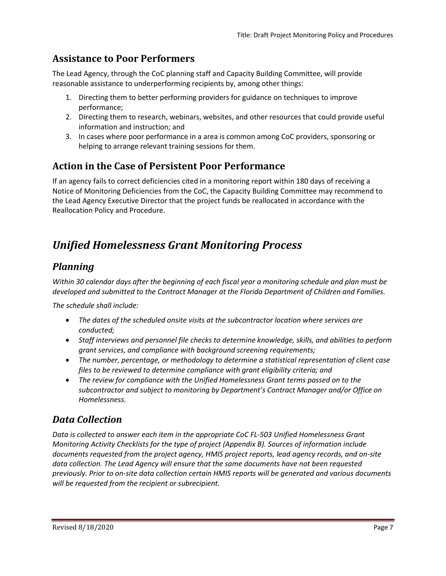## <span id="page-9-0"></span>**Assistance to Poor Performers**

The Lead Agency, through the CoC planning staff and Capacity Building Committee, will provide reasonable assistance to underperforming recipients by, among other things:

- 1. Directing them to better performing providers for guidance on techniques to improve performance;
- 2. Directing them to research, webinars, websites, and other resources that could provide useful information and instruction; and
- 3. In cases where poor performance in a area is common among CoC providers, sponsoring or helping to arrange relevant training sessions for them.

## <span id="page-9-1"></span>**Action in the Case of Persistent Poor Performance**

If an agency fails to correct deficiencies cited in a monitoring report within 180 days of receiving a Notice of Monitoring Deficiencies from the CoC, the Capacity Building Committee may recommend to the Lead Agency Executive Director that the project funds be reallocated in accordance with the Reallocation Policy and Procedure.

## <span id="page-9-2"></span>*Unified Homelessness Grant Monitoring Process*

## <span id="page-9-3"></span>*Planning*

*Within 30 calendar days after the beginning of each fiscal year a monitoring schedule and plan must be developed and submitted to the Contract Manager at the Florida Department of Children and Families.*

*The schedule shall include:*

- *The dates of the scheduled onsite visits at the subcontractor location where services are conducted;*
- *Staff interviews and personnel file checks to determine knowledge, skills, and abilities to perform grant services, and compliance with background screening requirements;*
- *The number, percentage, or methodology to determine a statistical representation of client case files to be reviewed to determine compliance with grant eligibility criteria; and*
- *The review for compliance with the Unified Homelessness Grant terms passed on to the subcontractor and subject to monitoring by Department's Contract Manager and/or Office on Homelessness.*

## <span id="page-9-4"></span>*Data Collection*

*Data is collected to answer each item in the appropriate CoC FL-503 Unified Homelessness Grant Monitoring Activity Checklists for the type of project (Appendix B). Sources of information include documents requested from the project agency, HMIS project reports, lead agency records, and on-site data collection. The Lead Agency will ensure that the same documents have not been requested previously. Prior to on-site data collection certain HMIS reports will be generated and various documents will be requested from the recipient or subrecipient.*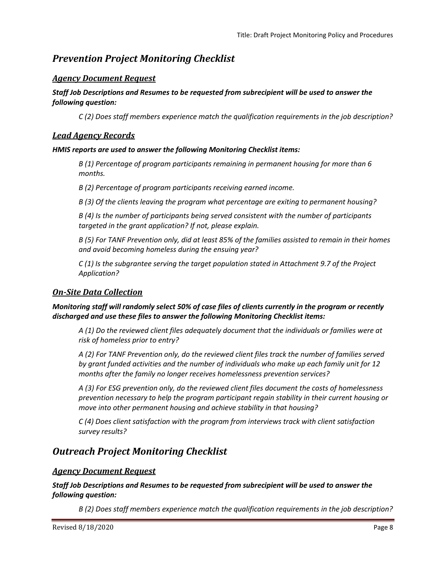## <span id="page-10-0"></span>*Prevention Project Monitoring Checklist*

#### <span id="page-10-1"></span>*Agency Document Request*

#### *Staff Job Descriptions and Resumes to be requested from subrecipient will be used to answer the following question:*

*C (2) Does staff members experience match the qualification requirements in the job description?*

#### <span id="page-10-2"></span>*Lead Agency Records*

#### *HMIS reports are used to answer the following Monitoring Checklist items:*

*B (1) Percentage of program participants remaining in permanent housing for more than 6 months.*

*B (2) Percentage of program participants receiving earned income.*

*B (3) Of the clients leaving the program what percentage are exiting to permanent housing?*

*B (4) Is the number of participants being served consistent with the number of participants targeted in the grant application? If not, please explain.*

*B (5) For TANF Prevention only, did at least 85% of the families assisted to remain in their homes and avoid becoming homeless during the ensuing year?*

*C (1) Is the subgrantee serving the target population stated in Attachment 9.7 of the Project Application?*

#### <span id="page-10-3"></span>*On-Site Data Collection*

#### *Monitoring staff will randomly select 50% of case files of clients currently in the program or recently discharged and use these files to answer the following Monitoring Checklist items:*

*A (1) Do the reviewed client files adequately document that the individuals or families were at risk of homeless prior to entry?*

*A (2) For TANF Prevention only, do the reviewed client files track the number of families served by grant funded activities and the number of individuals who make up each family unit for 12 months after the family no longer receives homelessness prevention services?*

*A (3) For ESG prevention only, do the reviewed client files document the costs of homelessness prevention necessary to help the program participant regain stability in their current housing or move into other permanent housing and achieve stability in that housing?*

*C (4) Does client satisfaction with the program from interviews track with client satisfaction survey results?*

## <span id="page-10-4"></span>*Outreach Project Monitoring Checklist*

#### <span id="page-10-5"></span>*Agency Document Request*

*Staff Job Descriptions and Resumes to be requested from subrecipient will be used to answer the following question:*

*B (2) Does staff members experience match the qualification requirements in the job description?*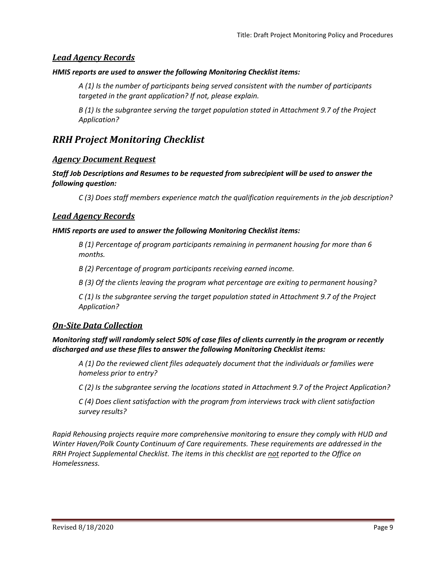#### <span id="page-11-4"></span>*Lead Agency Records*

#### *HMIS reports are used to answer the following Monitoring Checklist items:*

*A (1) Is the number of participants being served consistent with the number of participants targeted in the grant application? If not, please explain.*

*B (1) Is the subgrantee serving the target population stated in Attachment 9.7 of the Project Application?*

## <span id="page-11-0"></span>*RRH Project Monitoring Checklist*

#### <span id="page-11-1"></span>*Agency Document Request*

*Staff Job Descriptions and Resumes to be requested from subrecipient will be used to answer the following question:*

*C (3) Does staff members experience match the qualification requirements in the job description?*

#### <span id="page-11-2"></span>*Lead Agency Records*

#### *HMIS reports are used to answer the following Monitoring Checklist items:*

*B (1) Percentage of program participants remaining in permanent housing for more than 6 months.*

*B (2) Percentage of program participants receiving earned income.*

*B (3) Of the clients leaving the program what percentage are exiting to permanent housing?*

*C (1) Is the subgrantee serving the target population stated in Attachment 9.7 of the Project Application?*

#### <span id="page-11-3"></span>*On-Site Data Collection*

#### *Monitoring staff will randomly select 50% of case files of clients currently in the program or recently discharged and use these files to answer the following Monitoring Checklist items:*

*A (1) Do the reviewed client files adequately document that the individuals or families were homeless prior to entry?*

*C (2) Is the subgrantee serving the locations stated in Attachment 9.7 of the Project Application?*

*C (4) Does client satisfaction with the program from interviews track with client satisfaction survey results?*

*Rapid Rehousing projects require more comprehensive monitoring to ensure they comply with HUD and Winter Haven/Polk County Continuum of Care requirements. These requirements are addressed in the RRH Project Supplemental Checklist. The items in this checklist are not reported to the Office on Homelessness.*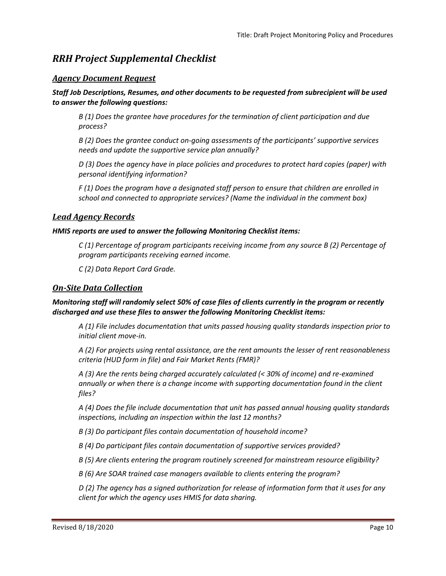## *RRH Project Supplemental Checklist*

#### *Agency Document Request*

#### *Staff Job Descriptions, Resumes, and other documents to be requested from subrecipient will be used to answer the following questions:*

*B (1) Does the grantee have procedures for the termination of client participation and due process?*

*B (2) Does the grantee conduct on-going assessments of the participants' supportive services needs and update the supportive service plan annually?*

*D (3) Does the agency have in place policies and procedures to protect hard copies (paper) with personal identifying information?*

*F (1) Does the program have a designated staff person to ensure that children are enrolled in school and connected to appropriate services? (Name the individual in the comment box)*

#### *Lead Agency Records*

#### *HMIS reports are used to answer the following Monitoring Checklist items:*

*C (1) Percentage of program participants receiving income from any source B (2) Percentage of program participants receiving earned income.*

*C (2) Data Report Card Grade.*

#### *On-Site Data Collection*

#### *Monitoring staff will randomly select 50% of case files of clients currently in the program or recently discharged and use these files to answer the following Monitoring Checklist items:*

*A (1) File includes documentation that units passed housing quality standards inspection prior to initial client move-in.*

*A (2) For projects using rental assistance, are the rent amounts the lesser of rent reasonableness criteria (HUD form in file) and Fair Market Rents (FMR)?*

*A (3) Are the rents being charged accurately calculated (< 30% of income) and re-examined annually or when there is a change income with supporting documentation found in the client files?*

*A (4) Does the file include documentation that unit has passed annual housing quality standards inspections, including an inspection within the last 12 months?*

*B (3) Do participant files contain documentation of household income?*

*B (4) Do participant files contain documentation of supportive services provided?*

*B (5) Are clients entering the program routinely screened for mainstream resource eligibility?*

*B (6) Are SOAR trained case managers available to clients entering the program?*

*D (2) The agency has a signed authorization for release of information form that it uses for any client for which the agency uses HMIS for data sharing.*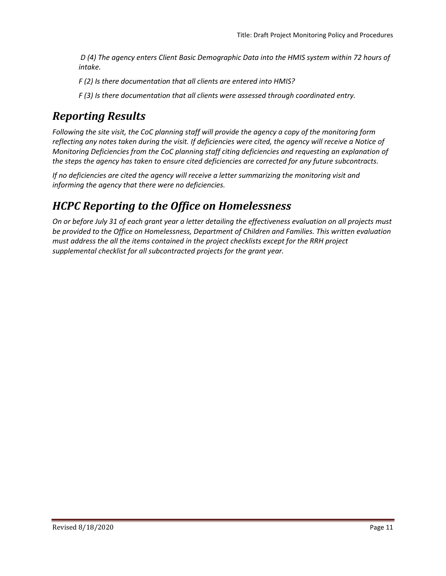*D (4) The agency enters Client Basic Demographic Data into the HMIS system within 72 hours of intake.*

*F (2) Is there documentation that all clients are entered into HMIS?*

*F (3) Is there documentation that all clients were assessed through coordinated entry.*

# <span id="page-13-0"></span>*Reporting Results*

*Following the site visit, the CoC planning staff will provide the agency a copy of the monitoring form reflecting any notes taken during the visit. If deficiencies were cited, the agency will receive a Notice of Monitoring Deficiencies from the CoC planning staff citing deficiencies and requesting an explanation of the steps the agency has taken to ensure cited deficiencies are corrected for any future subcontracts.*

*If no deficiencies are cited the agency will receive a letter summarizing the monitoring visit and informing the agency that there were no deficiencies.*

## *HCPC Reporting to the Office on Homelessness*

*On or before July 31 of each grant year a letter detailing the effectiveness evaluation on all projects must be provided to the Office on Homelessness, Department of Children and Families. This written evaluation must address the all the items contained in the project checklists except for the RRH project supplemental checklist for all subcontracted projects for the grant year.*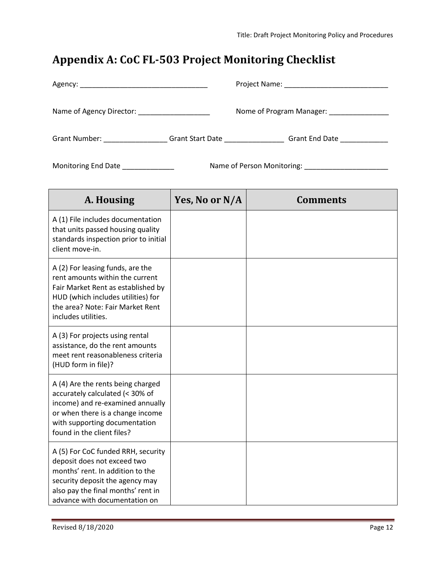# <span id="page-14-0"></span>**Appendix A: CoC FL-503 Project Monitoring Checklist**

| Name of Agency Director: Name of Agency Director: |                         | Nome of Program Manager: Nome of Program Manager: |
|---------------------------------------------------|-------------------------|---------------------------------------------------|
| Grant Number:                                     | <b>Grant Start Date</b> | <b>Grant End Date</b>                             |

Monitoring End Date \_\_\_\_\_\_\_\_\_\_\_\_\_ Name of Person Monitoring: \_\_\_\_\_\_\_\_\_\_\_\_\_\_\_\_\_\_\_\_\_

| A. Housing                                                                                                                                                                                                      | Yes, No or N/A | <b>Comments</b> |
|-----------------------------------------------------------------------------------------------------------------------------------------------------------------------------------------------------------------|----------------|-----------------|
| A (1) File includes documentation<br>that units passed housing quality<br>standards inspection prior to initial<br>client move-in.                                                                              |                |                 |
| A (2) For leasing funds, are the<br>rent amounts within the current<br>Fair Market Rent as established by<br>HUD (which includes utilities) for<br>the area? Note: Fair Market Rent<br>includes utilities.      |                |                 |
| A (3) For projects using rental<br>assistance, do the rent amounts<br>meet rent reasonableness criteria<br>(HUD form in file)?                                                                                  |                |                 |
| A (4) Are the rents being charged<br>accurately calculated (< 30% of<br>income) and re-examined annually<br>or when there is a change income<br>with supporting documentation<br>found in the client files?     |                |                 |
| A (5) For CoC funded RRH, security<br>deposit does not exceed two<br>months' rent. In addition to the<br>security deposit the agency may<br>also pay the final months' rent in<br>advance with documentation on |                |                 |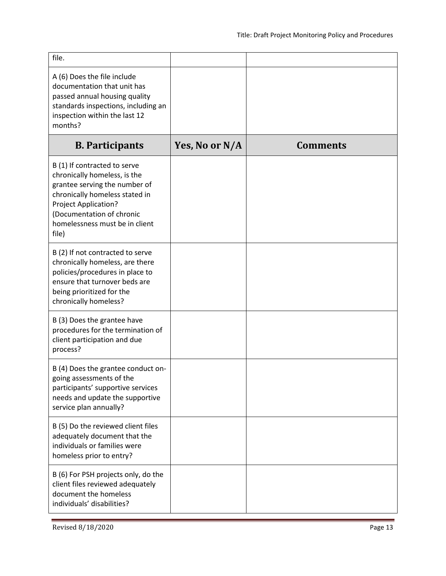| file.                                                                                                                                                                                                                           |                |                 |
|---------------------------------------------------------------------------------------------------------------------------------------------------------------------------------------------------------------------------------|----------------|-----------------|
| A (6) Does the file include<br>documentation that unit has<br>passed annual housing quality<br>standards inspections, including an<br>inspection within the last 12<br>months?                                                  |                |                 |
| <b>B.</b> Participants                                                                                                                                                                                                          | Yes, No or N/A | <b>Comments</b> |
| B (1) If contracted to serve<br>chronically homeless, is the<br>grantee serving the number of<br>chronically homeless stated in<br>Project Application?<br>(Documentation of chronic<br>homelessness must be in client<br>file) |                |                 |
| B (2) If not contracted to serve<br>chronically homeless, are there<br>policies/procedures in place to<br>ensure that turnover beds are<br>being prioritized for the<br>chronically homeless?                                   |                |                 |
| B (3) Does the grantee have<br>procedures for the termination of<br>client participation and due<br>process?                                                                                                                    |                |                 |
| B (4) Does the grantee conduct on-<br>going assessments of the<br>participants' supportive services<br>needs and update the supportive<br>service plan annually?                                                                |                |                 |
| B (5) Do the reviewed client files<br>adequately document that the<br>individuals or families were<br>homeless prior to entry?                                                                                                  |                |                 |
| B (6) For PSH projects only, do the<br>client files reviewed adequately<br>document the homeless<br>individuals' disabilities?                                                                                                  |                |                 |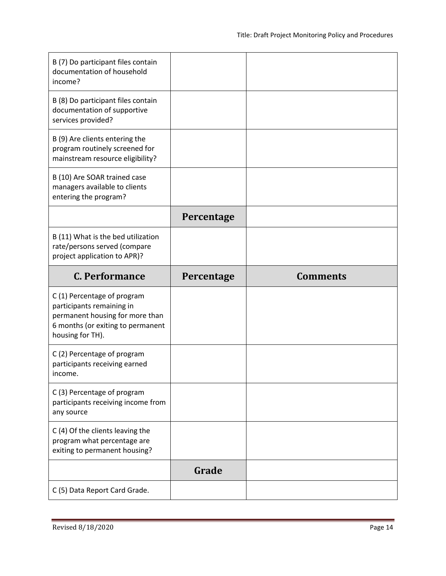| B (7) Do participant files contain<br>documentation of household<br>income?                                                                         |            |                 |
|-----------------------------------------------------------------------------------------------------------------------------------------------------|------------|-----------------|
| B (8) Do participant files contain<br>documentation of supportive<br>services provided?                                                             |            |                 |
| B (9) Are clients entering the<br>program routinely screened for<br>mainstream resource eligibility?                                                |            |                 |
| B (10) Are SOAR trained case<br>managers available to clients<br>entering the program?                                                              |            |                 |
|                                                                                                                                                     | Percentage |                 |
| B (11) What is the bed utilization<br>rate/persons served (compare<br>project application to APR)?                                                  |            |                 |
| C. Performance                                                                                                                                      |            |                 |
|                                                                                                                                                     | Percentage | <b>Comments</b> |
| C(1) Percentage of program<br>participants remaining in<br>permanent housing for more than<br>6 months (or exiting to permanent<br>housing for TH). |            |                 |
| C(2) Percentage of program<br>participants receiving earned<br>income.                                                                              |            |                 |
| C (3) Percentage of program<br>participants receiving income from<br>any source                                                                     |            |                 |
| C (4) Of the clients leaving the<br>program what percentage are<br>exiting to permanent housing?                                                    |            |                 |
|                                                                                                                                                     | Grade      |                 |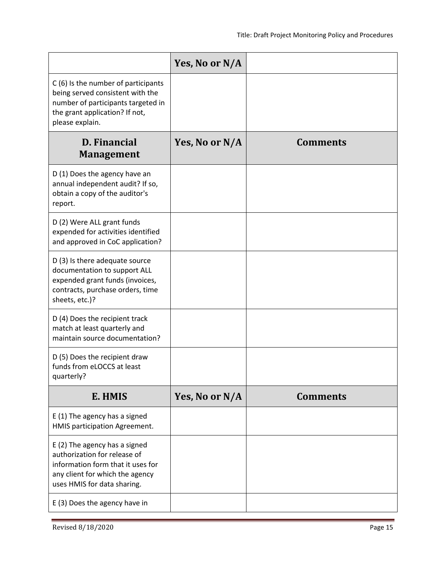|                                                                                                                                                                      | Yes, No or N/A |                 |
|----------------------------------------------------------------------------------------------------------------------------------------------------------------------|----------------|-----------------|
| C(6) Is the number of participants<br>being served consistent with the<br>number of participants targeted in<br>the grant application? If not,<br>please explain.    |                |                 |
| <b>D.</b> Financial<br><b>Management</b>                                                                                                                             | Yes, No or N/A | <b>Comments</b> |
| D (1) Does the agency have an<br>annual independent audit? If so,<br>obtain a copy of the auditor's<br>report.                                                       |                |                 |
| D (2) Were ALL grant funds<br>expended for activities identified<br>and approved in CoC application?                                                                 |                |                 |
| D (3) Is there adequate source<br>documentation to support ALL<br>expended grant funds (invoices,<br>contracts, purchase orders, time<br>sheets, etc.)?              |                |                 |
| D (4) Does the recipient track<br>match at least quarterly and<br>maintain source documentation?                                                                     |                |                 |
| D (5) Does the recipient draw<br>funds from eLOCCS at least<br>quarterly?                                                                                            |                |                 |
| E. HMIS                                                                                                                                                              | Yes, No or N/A | <b>Comments</b> |
| E (1) The agency has a signed<br>HMIS participation Agreement.                                                                                                       |                |                 |
| E (2) The agency has a signed<br>authorization for release of<br>information form that it uses for<br>any client for which the agency<br>uses HMIS for data sharing. |                |                 |
| E (3) Does the agency have in                                                                                                                                        |                |                 |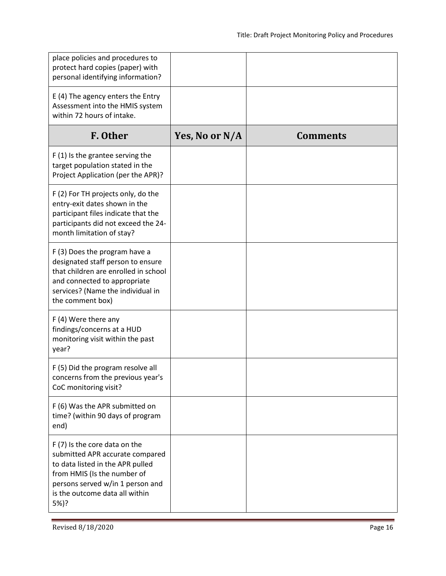| place policies and procedures to<br>protect hard copies (paper) with<br>personal identifying information?                                                                                                         |                |                 |
|-------------------------------------------------------------------------------------------------------------------------------------------------------------------------------------------------------------------|----------------|-----------------|
| E (4) The agency enters the Entry<br>Assessment into the HMIS system<br>within 72 hours of intake.                                                                                                                |                |                 |
| F. Other                                                                                                                                                                                                          | Yes, No or N/A | <b>Comments</b> |
| $F(1)$ is the grantee serving the<br>target population stated in the<br>Project Application (per the APR)?                                                                                                        |                |                 |
| F (2) For TH projects only, do the<br>entry-exit dates shown in the<br>participant files indicate that the<br>participants did not exceed the 24-<br>month limitation of stay?                                    |                |                 |
| F (3) Does the program have a<br>designated staff person to ensure<br>that children are enrolled in school<br>and connected to appropriate<br>services? (Name the individual in<br>the comment box)               |                |                 |
| $F(4)$ Were there any<br>findings/concerns at a HUD<br>monitoring visit within the past<br>year?                                                                                                                  |                |                 |
| F (5) Did the program resolve all<br>concerns from the previous year's<br>CoC monitoring visit?                                                                                                                   |                |                 |
| F (6) Was the APR submitted on<br>time? (within 90 days of program<br>end)                                                                                                                                        |                |                 |
| F (7) Is the core data on the<br>submitted APR accurate compared<br>to data listed in the APR pulled<br>from HMIS (Is the number of<br>persons served w/in 1 person and<br>is the outcome data all within<br>5%)? |                |                 |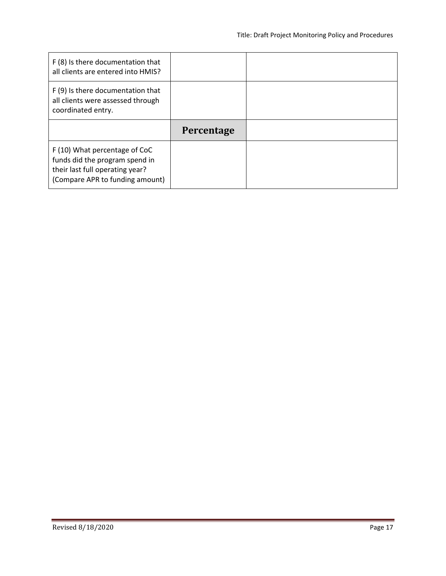| F (8) Is there documentation that<br>all clients are entered into HMIS?                      |            |  |
|----------------------------------------------------------------------------------------------|------------|--|
| F (9) Is there documentation that<br>all clients were assessed through<br>coordinated entry. |            |  |
|                                                                                              |            |  |
|                                                                                              | Percentage |  |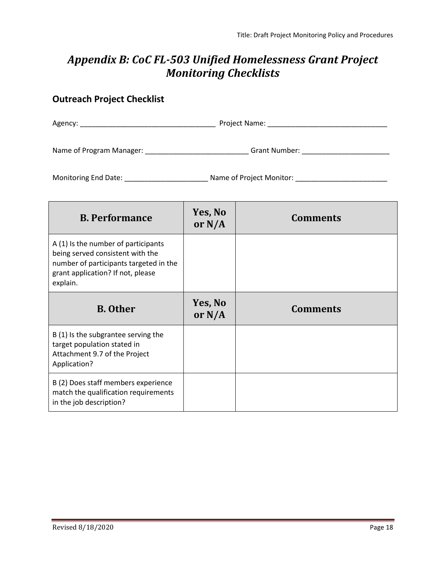## <span id="page-20-0"></span>*Appendix B: CoC FL-503 Unified Homelessness Grant Project Monitoring Checklists*

### **Outreach Project Checklist**

| Agency:                  | Project Name: |  |
|--------------------------|---------------|--|
| Name of Program Manager: | Grant Number: |  |

| <b>B.</b> Performance                                                                                                                                              | Yes, No<br>or $N/A$ | <b>Comments</b> |
|--------------------------------------------------------------------------------------------------------------------------------------------------------------------|---------------------|-----------------|
| A (1) Is the number of participants<br>being served consistent with the<br>number of participants targeted in the<br>grant application? If not, please<br>explain. |                     |                 |
| <b>B.</b> Other                                                                                                                                                    | Yes, No<br>or $N/A$ | <b>Comments</b> |
| B (1) Is the subgrantee serving the<br>target population stated in<br>Attachment 9.7 of the Project<br>Application?                                                |                     |                 |
| B (2) Does staff members experience<br>match the qualification requirements<br>in the job description?                                                             |                     |                 |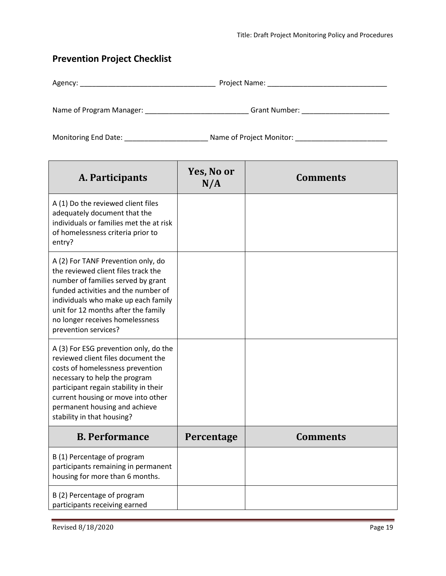### **Prevention Project Checklist**

| Agency: | Name:<br><u>חםות</u><br>. |
|---------|---------------------------|
|         |                           |

Name of Program Manager: \_\_\_\_\_\_\_\_\_\_\_\_\_\_\_\_\_\_\_\_\_\_\_\_\_\_\_\_\_\_\_\_Grant Number: \_\_\_\_\_\_\_\_\_\_\_\_\_\_\_\_\_\_\_\_\_\_\_\_\_\_\_\_\_

| A. Participants                                                                                                                                                                                                                                                                                 | Yes, No or<br>N/A | <b>Comments</b> |
|-------------------------------------------------------------------------------------------------------------------------------------------------------------------------------------------------------------------------------------------------------------------------------------------------|-------------------|-----------------|
| A (1) Do the reviewed client files<br>adequately document that the<br>individuals or families met the at risk<br>of homelessness criteria prior to<br>entry?                                                                                                                                    |                   |                 |
| A (2) For TANF Prevention only, do<br>the reviewed client files track the<br>number of families served by grant<br>funded activities and the number of<br>individuals who make up each family<br>unit for 12 months after the family<br>no longer receives homelessness<br>prevention services? |                   |                 |
| A (3) For ESG prevention only, do the<br>reviewed client files document the<br>costs of homelessness prevention<br>necessary to help the program<br>participant regain stability in their<br>current housing or move into other<br>permanent housing and achieve<br>stability in that housing?  |                   |                 |
| <b>B. Performance</b>                                                                                                                                                                                                                                                                           | Percentage        | <b>Comments</b> |
| B (1) Percentage of program<br>participants remaining in permanent<br>housing for more than 6 months.                                                                                                                                                                                           |                   |                 |
| B (2) Percentage of program<br>participants receiving earned                                                                                                                                                                                                                                    |                   |                 |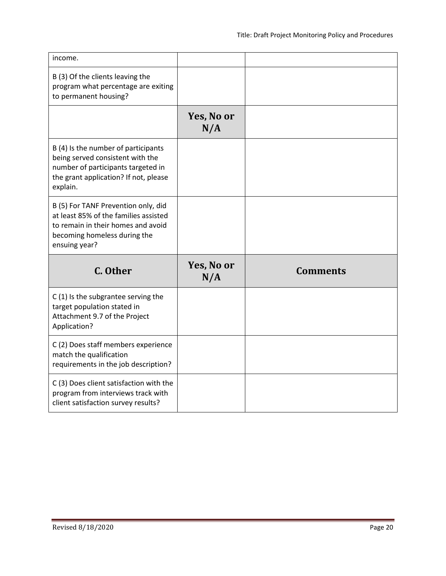| income.                                                                                                                                                            |                   |                 |
|--------------------------------------------------------------------------------------------------------------------------------------------------------------------|-------------------|-----------------|
| B (3) Of the clients leaving the<br>program what percentage are exiting<br>to permanent housing?                                                                   |                   |                 |
|                                                                                                                                                                    | Yes, No or<br>N/A |                 |
| B (4) Is the number of participants<br>being served consistent with the<br>number of participants targeted in<br>the grant application? If not, please<br>explain. |                   |                 |
| B (5) For TANF Prevention only, did<br>at least 85% of the families assisted<br>to remain in their homes and avoid<br>becoming homeless during the                 |                   |                 |
| ensuing year?                                                                                                                                                      |                   |                 |
| C. Other                                                                                                                                                           | Yes, No or<br>N/A | <b>Comments</b> |
| $C(1)$ is the subgrantee serving the<br>target population stated in<br>Attachment 9.7 of the Project<br>Application?                                               |                   |                 |
| C (2) Does staff members experience<br>match the qualification<br>requirements in the job description?                                                             |                   |                 |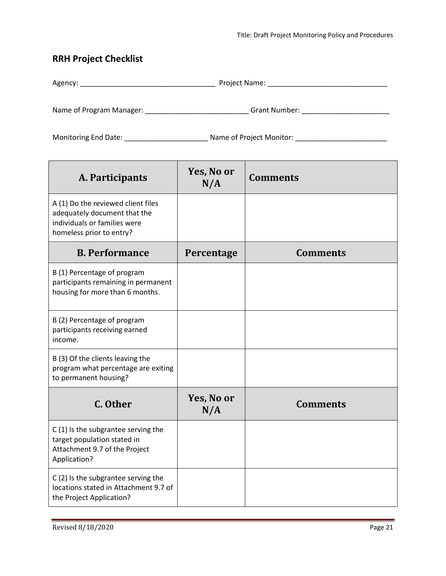## **RRH Project Checklist**

| Agency: | Project Name: |  |
|---------|---------------|--|
|         |               |  |

Name of Program Manager: \_\_\_\_\_\_\_\_\_\_\_\_\_\_\_\_\_\_\_\_\_\_\_\_\_\_\_\_\_\_\_\_Grant Number: \_\_\_\_\_\_\_\_\_\_\_\_\_\_\_\_\_\_\_\_\_\_\_\_\_\_\_\_\_

| A. Participants                                                                                                                | Yes, No or<br>N/A | <b>Comments</b> |
|--------------------------------------------------------------------------------------------------------------------------------|-------------------|-----------------|
| A (1) Do the reviewed client files<br>adequately document that the<br>individuals or families were<br>homeless prior to entry? |                   |                 |
| <b>B. Performance</b>                                                                                                          | Percentage        | <b>Comments</b> |
| B (1) Percentage of program<br>participants remaining in permanent<br>housing for more than 6 months.                          |                   |                 |
| B (2) Percentage of program<br>participants receiving earned<br>income.                                                        |                   |                 |
| B (3) Of the clients leaving the<br>program what percentage are exiting<br>to permanent housing?                               |                   |                 |
| C. Other                                                                                                                       | Yes, No or<br>N/A | <b>Comments</b> |
| C(1) Is the subgrantee serving the<br>target population stated in<br>Attachment 9.7 of the Project<br>Application?             |                   |                 |
| C(2) Is the subgrantee serving the<br>locations stated in Attachment 9.7 of<br>the Project Application?                        |                   |                 |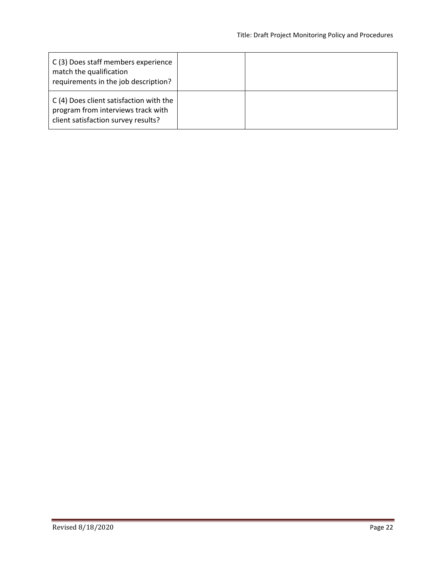| C(3) Does staff members experience<br>match the qualification<br>requirements in the job description?                |  |
|----------------------------------------------------------------------------------------------------------------------|--|
| C (4) Does client satisfaction with the<br>program from interviews track with<br>client satisfaction survey results? |  |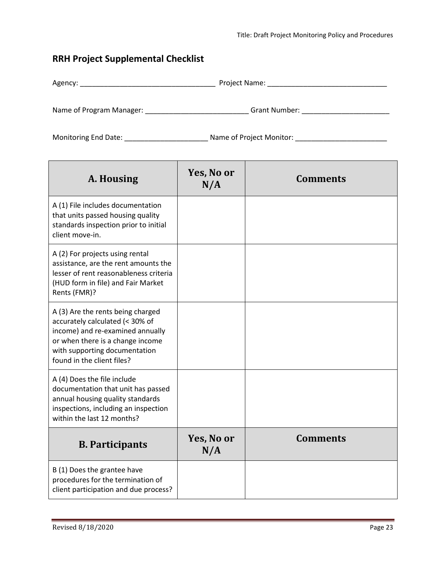### **RRH Project Supplemental Checklist**

| Agency: | Project Name: |  |
|---------|---------------|--|
|         |               |  |

Name of Program Manager: \_\_\_\_\_\_\_\_\_\_\_\_\_\_\_\_\_\_\_\_\_\_\_\_\_\_\_\_\_\_\_Grant Number: \_\_\_\_\_\_\_\_\_\_\_\_\_\_\_\_\_\_\_\_\_\_\_\_\_\_\_\_\_\_

| A. Housing                                                                                                                                                                                                  | Yes, No or<br>N/A | <b>Comments</b> |
|-------------------------------------------------------------------------------------------------------------------------------------------------------------------------------------------------------------|-------------------|-----------------|
| A (1) File includes documentation<br>that units passed housing quality<br>standards inspection prior to initial<br>client move-in.                                                                          |                   |                 |
| A (2) For projects using rental<br>assistance, are the rent amounts the<br>lesser of rent reasonableness criteria<br>(HUD form in file) and Fair Market<br>Rents (FMR)?                                     |                   |                 |
| A (3) Are the rents being charged<br>accurately calculated (< 30% of<br>income) and re-examined annually<br>or when there is a change income<br>with supporting documentation<br>found in the client files? |                   |                 |
| A (4) Does the file include<br>documentation that unit has passed<br>annual housing quality standards<br>inspections, including an inspection<br>within the last 12 months?                                 |                   |                 |
| <b>B.</b> Participants                                                                                                                                                                                      | Yes, No or<br>N/A | <b>Comments</b> |
| B (1) Does the grantee have<br>procedures for the termination of<br>client participation and due process?                                                                                                   |                   |                 |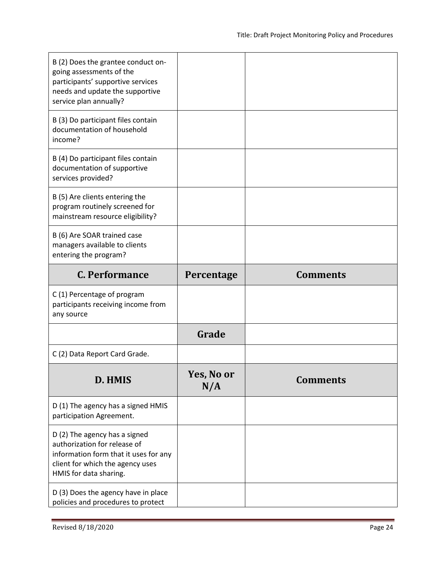| B (2) Does the grantee conduct on-<br>going assessments of the<br>participants' supportive services<br>needs and update the supportive<br>service plan annually?     |                   |                 |
|----------------------------------------------------------------------------------------------------------------------------------------------------------------------|-------------------|-----------------|
| B (3) Do participant files contain<br>documentation of household<br>income?                                                                                          |                   |                 |
| B (4) Do participant files contain<br>documentation of supportive<br>services provided?                                                                              |                   |                 |
| B (5) Are clients entering the<br>program routinely screened for<br>mainstream resource eligibility?                                                                 |                   |                 |
| B (6) Are SOAR trained case<br>managers available to clients<br>entering the program?                                                                                |                   |                 |
| <b>C. Performance</b>                                                                                                                                                | Percentage        | <b>Comments</b> |
|                                                                                                                                                                      |                   |                 |
| C(1) Percentage of program<br>participants receiving income from<br>any source                                                                                       |                   |                 |
|                                                                                                                                                                      | Grade             |                 |
| C (2) Data Report Card Grade.                                                                                                                                        |                   |                 |
| D. HMIS                                                                                                                                                              | Yes, No or<br>N/A | <b>Comments</b> |
| D (1) The agency has a signed HMIS<br>participation Agreement.                                                                                                       |                   |                 |
| D (2) The agency has a signed<br>authorization for release of<br>information form that it uses for any<br>client for which the agency uses<br>HMIS for data sharing. |                   |                 |